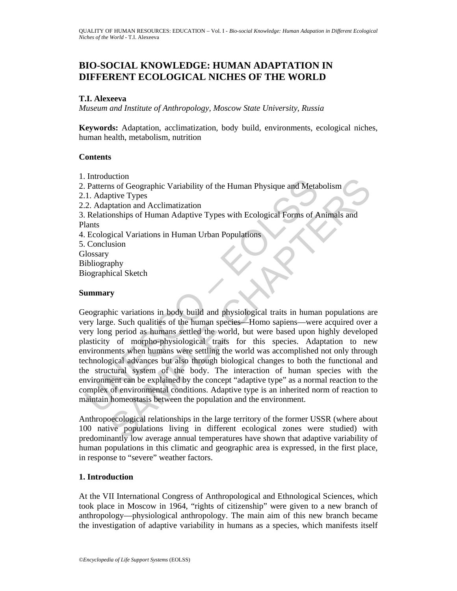# **BIO-SOCIAL KNOWLEDGE: HUMAN ADAPTATION IN DIFFERENT ECOLOGICAL NICHES OF THE WORLD**

#### **T.I. Alexeeva**

*Museum and Institute of Anthropology, Moscow State University, Russia* 

**Keywords:** Adaptation, acclimatization, body build, environments, ecological niches, human health, metabolism, nutrition

### **Contents**

1. Introduction

moduction<br>
Patterns of Geographic Variability of the Human Physique and Meta<br>
1. Adaptive Types<br>
2. Adaptation and Acclimatization<br>
Relationships of Human Adaptive Types with Ecological Forms of A<br>
latants<br>
Ecological Vari Continue and Metabolism<br>
Sample Constantine Constantine Constantine Constanting Considers and Metabolism<br>
Sample Chapter Types with Ecological Forms of Animals and<br>
Sample Chapter Types with Ecological Forms of Animals and 2. Patterns of Geographic Variability of the Human Physique and Metabolism 2.1. Adaptive Types 2.2. Adaptation and Acclimatization 3. Relationships of Human Adaptive Types with Ecological Forms of Animals and Plants 4. Ecological Variations in Human Urban Populations 5. Conclusion **Glossary** Bibliography Biographical Sketch **Summary** 

Geographic variations in body build and physiological traits in human populations are very large. Such qualities of the human species—Homo sapiens—were acquired over a very long period as humans settled the world, but were based upon highly developed plasticity of morpho-physiological traits for this species. Adaptation to new environments when humans were settling the world was accomplished not only through technological advances but also through biological changes to both the functional and the structural system of the body. The interaction of human species with the environment can be explained by the concept "adaptive type" as a normal reaction to the complex of environmental conditions. Adaptive type is an inherited norm of reaction to maintain homeostasis between the population and the environment.

Anthropoecological relationships in the large territory of the former USSR (where about 100 native populations living in different ecological zones were studied) with predominantly low average annual temperatures have shown that adaptive variability of human populations in this climatic and geographic area is expressed, in the first place, in response to "severe" weather factors.

### **1. Introduction**

At the VII International Congress of Anthropological and Ethnological Sciences, which took place in Moscow in 1964, "rights of citizenship" were given to a new branch of anthropology—physiological anthropology. The main aim of this new branch became the investigation of adaptive variability in humans as a species, which manifests itself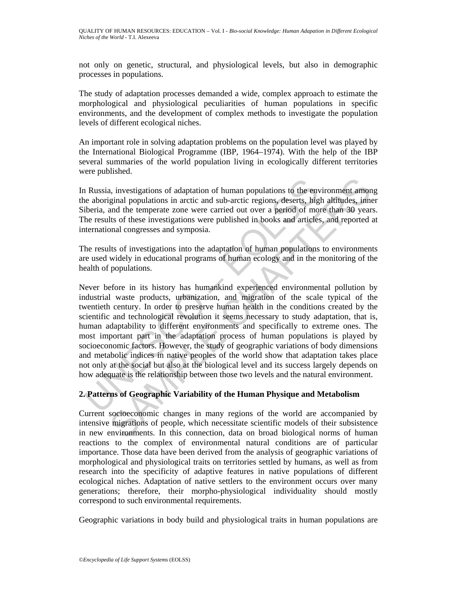not only on genetic, structural, and physiological levels, but also in demographic processes in populations.

The study of adaptation processes demanded a wide, complex approach to estimate the morphological and physiological peculiarities of human populations in specific environments, and the development of complex methods to investigate the population levels of different ecological niches.

An important role in solving adaptation problems on the population level was played by the International Biological Programme (IBP, 1964–1974). With the help of the IBP several summaries of the world population living in ecologically different territories were published.

In Russia, investigations of adaptation of human populations to the environment among the aboriginal populations in arctic and sub-arctic regions, deserts, high altitudes, inner Siberia, and the temperate zone were carried out over a period of more than 30 years. The results of these investigations were published in books and articles, and reported at international congresses and symposia.

The results of investigations into the adaptation of human populations to environments are used widely in educational programs of human ecology and in the monitoring of the health of populations.

Russia, investigations of adaptation of human populations to the envertional populations in arctic and sub-arctic regions, deserts, higiberia, and the temperate zone were carried out over a period of moment presents of the a, investigations of adaptation of human populations to the environment amon ginal populations in arctic and sub-arctic regions, deserts, high altitudes, inneand the temperate zone were carried out over a period of more th Never before in its history has humankind experienced environmental pollution by industrial waste products, urbanization, and migration of the scale typical of the twentieth century. In order to preserve human health in the conditions created by the scientific and technological revolution it seems necessary to study adaptation, that is, human adaptability to different environments and specifically to extreme ones. The most important part in the adaptation process of human populations is played by socioeconomic factors. However, the study of geographic variations of body dimensions and metabolic indices in native peoples of the world show that adaptation takes place not only at the social but also at the biological level and its success largely depends on how adequate is the relationship between those two levels and the natural environment.

## **2. Patterns of Geographic Variability of the Human Physique and Metabolism**

Current socioeconomic changes in many regions of the world are accompanied by intensive migrations of people, which necessitate scientific models of their subsistence in new environments. In this connection, data on broad biological norms of human reactions to the complex of environmental natural conditions are of particular importance. Those data have been derived from the analysis of geographic variations of morphological and physiological traits on territories settled by humans, as well as from research into the specificity of adaptive features in native populations of different ecological niches. Adaptation of native settlers to the environment occurs over many generations; therefore, their morpho-physiological individuality should mostly correspond to such environmental requirements.

Geographic variations in body build and physiological traits in human populations are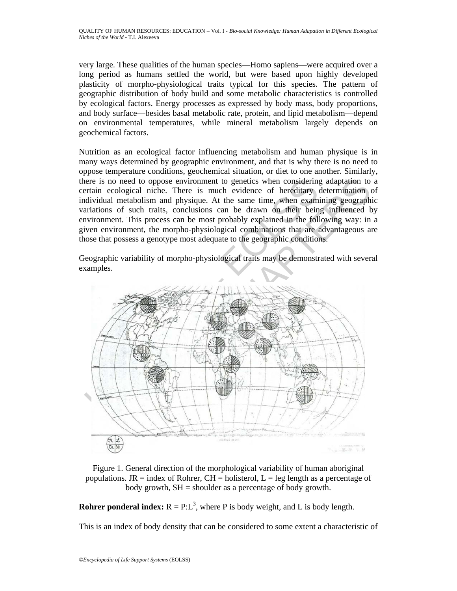very large. These qualities of the human species—Homo sapiens—were acquired over a long period as humans settled the world, but were based upon highly developed plasticity of morpho-physiological traits typical for this species. The pattern of geographic distribution of body build and some metabolic characteristics is controlled by ecological factors. Energy processes as expressed by body mass, body proportions, and body surface—besides basal metabolic rate, protein, and lipid metabolism—depend on environmental temperatures, while mineral metabolism largely depends on geochemical factors.

Nutrition as an ecological factor influencing metabolism and human physique is in many ways determined by geographic environment, and that is why there is no need to oppose temperature conditions, geochemical situation, or diet to one another. Similarly, there is no need to oppose environment to genetics when considering adaptation to a certain ecological niche. There is much evidence of hereditary determination of individual metabolism and physique. At the same time, when examining geographic variations of such traits, conclusions can be drawn on their being influenced by environment. This process can be most probably explained in the following way: in a given environment, the morpho-physiological combinations that are advantageous are those that possess a genotype most adequate to the geographic conditions.

Geographic variability of morpho-physiological traits may be demonstrated with several examples.



Figure 1. General direction of the morphological variability of human aboriginal populations. JR = index of Rohrer, CH = holisterol,  $L = \text{leg length}$  as a percentage of body growth, SH = shoulder as a percentage of body growth.

**Rohrer ponderal index:**  $R = P : L^3$ , where P is body weight, and L is body length.

This is an index of body density that can be considered to some extent a characteristic of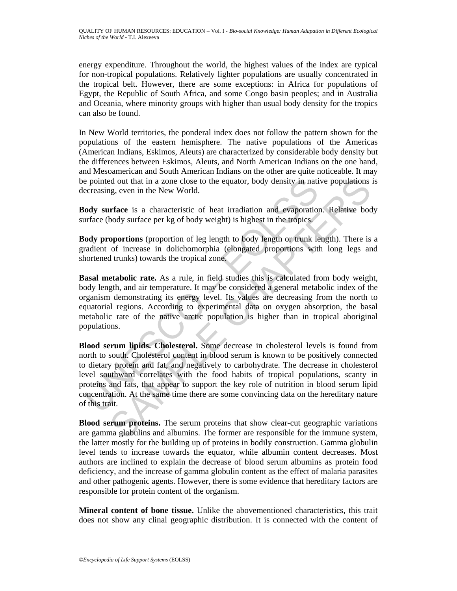energy expenditure. Throughout the world, the highest values of the index are typical for non-tropical populations. Relatively lighter populations are usually concentrated in the tropical belt. However, there are some exceptions: in Africa for populations of Egypt, the Republic of South Africa, and some Congo basin peoples; and in Australia and Oceania, where minority groups with higher than usual body density for the tropics can also be found.

In New World territories, the ponderal index does not follow the pattern shown for the populations of the eastern hemisphere. The native populations of the Americas (American Indians, Eskimos, Aleuts) are characterized by considerable body density but the differences between Eskimos, Aleuts, and North American Indians on the one hand, and Mesoamerican and South American Indians on the other are quite noticeable. It may be pointed out that in a zone close to the equator, body density in native populations is decreasing, even in the New World.

**Body surface** is a characteristic of heat irradiation and evaporation. Relative body surface (body surface per kg of body weight) is highest in the tropics.

**Body proportions** (proportion of leg length to body length or trunk length). There is a gradient of increase in dolichomorphia (elongated proportions with long legs and shortened trunks) towards the tropical zone.

**Basal metabolic rate.** As a rule, in field studies this is calculated from body weight, body length, and air temperature. It may be considered a general metabolic index of the organism demonstrating its energy level. Its values are decreasing from the north to equatorial regions. According to experimental data on oxygen absorption, the basal metabolic rate of the native arctic population is higher than in tropical aboriginal populations.

e pointed out that in a zone close to the equator, body density in nation and evaporation, even in the New World.<br> **ody surface** is a characteristic of heat irradiation and evaporation<br> **ody surface** is a characteristic of in that in a zone close to the equator, body density in native populations in the New World.<br> **Trace** is a characteristic of heat irradiation and evaporation. Relative bod<br>
body surface per kg of body weight) is highest in **Blood serum lipids. Cholesterol.** Some decrease in cholesterol levels is found from north to south. Cholesterol content in blood serum is known to be positively connected to dietary protein and fat, and negatively to carbohydrate. The decrease in cholesterol level southward correlates with the food habits of tropical populations, scanty in proteins and fats, that appear to support the key role of nutrition in blood serum lipid concentration. At the same time there are some convincing data on the hereditary nature of this trait.

**Blood serum proteins.** The serum proteins that show clear-cut geographic variations are gamma globulins and albumins. The former are responsible for the immune system, the latter mostly for the building up of proteins in bodily construction. Gamma globulin level tends to increase towards the equator, while albumin content decreases. Most authors are inclined to explain the decrease of blood serum albumins as protein food deficiency, and the increase of gamma globulin content as the effect of malaria parasites and other pathogenic agents. However, there is some evidence that hereditary factors are responsible for protein content of the organism.

**Mineral content of bone tissue.** Unlike the abovementioned characteristics, this trait does not show any clinal geographic distribution. It is connected with the content of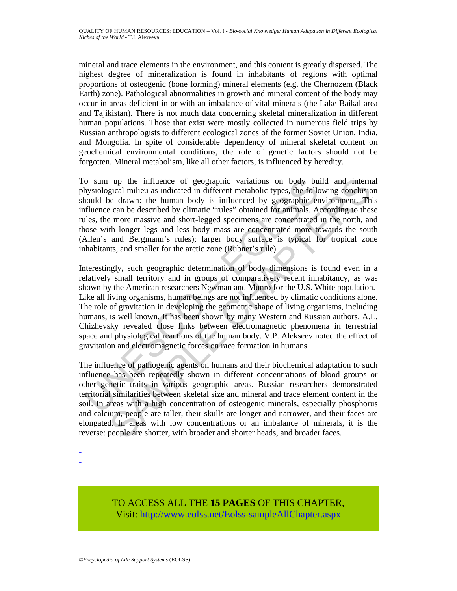mineral and trace elements in the environment, and this content is greatly dispersed. The highest degree of mineralization is found in inhabitants of regions with optimal proportions of osteogenic (bone forming) mineral elements (e.g. the Chernozem (Black Earth) zone). Pathological abnormalities in growth and mineral content of the body may occur in areas deficient in or with an imbalance of vital minerals (the Lake Baikal area and Tajikistan). There is not much data concerning skeletal mineralization in different human populations. Those that exist were mostly collected in numerous field trips by Russian anthropologists to different ecological zones of the former Soviet Union, India, and Mongolia. In spite of considerable dependency of mineral skeletal content on geochemical environmental conditions, the role of genetic factors should not be forgotten. Mineral metabolism, like all other factors, is influenced by heredity.

To sum up the influence of geographic variations on body build and internal physiological milieu as indicated in different metabolic types, the following conclusion should be drawn: the human body is influenced by geographic environment. This influence can be described by climatic "rules" obtained for animals. According to these rules, the more massive and short-legged specimens are concentrated in the north, and those with longer legs and less body mass are concentrated more towards the south (Allen's and Bergmann's rules); larger body surface is typical for tropical zone inhabitants, and smaller for the arctic zone (Rubner's rule).

o sum up the influence of geographic variations on body bu<br>physiological milieu as indicated in different metabolic types, the follo<br>noul de drawn: the human body is influenced by geographic er-<br>nollar-buffulnence can be d up the influence of geographic variations on body build and internal egical milieu as inideated in different metabolic types, the following condustion different metabolic types, the following condustion are en the describe Interestingly, such geographic determination of body dimensions is found even in a relatively small territory and in groups of comparatively recent inhabitancy, as was shown by the American researchers Newman and Munro for the U.S. White population. Like all living organisms, human beings are not influenced by climatic conditions alone. The role of gravitation in developing the geometric shape of living organisms, including humans, is well known. It has been shown by many Western and Russian authors. A.L. Chizhevsky revealed close links between electromagnetic phenomena in terrestrial space and physiological reactions of the human body. V.P. Alekseev noted the effect of gravitation and electromagnetic forces on race formation in humans.

The influence of pathogenic agents on humans and their biochemical adaptation to such influence has been repeatedly shown in different concentrations of blood groups or other genetic traits in various geographic areas. Russian researchers demonstrated territorial similarities between skeletal size and mineral and trace element content in the soil. In areas with a high concentration of osteogenic minerals, especially phosphorus and calcium, people are taller, their skulls are longer and narrower, and their faces are elongated. In areas with low concentrations or an imbalance of minerals, it is the reverse: people are shorter, with broader and shorter heads, and broader faces.

-

- -

> TO ACCESS ALL THE **15 PAGES** OF THIS CHAPTER, Visit[: http://www.eolss.net/Eolss-sampleAllChapter.aspx](https://www.eolss.net/ebooklib/sc_cart.aspx?File=E1-12-02-06)